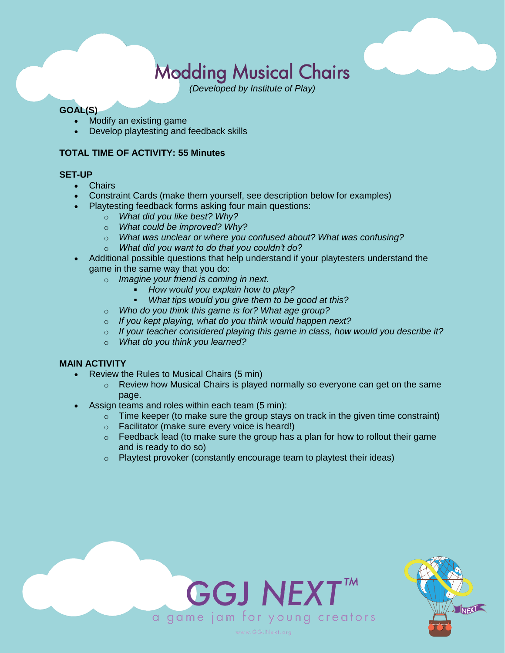# Modding Musical Chairs

*(Developed by Institute of Play)*

## **GOAL(S)**

- Modify an existing game
- Develop playtesting and feedback skills

## **TOTAL TIME OF ACTIVITY: 55 Minutes**

### **SET-UP**

- Chairs
- Constraint Cards (make them yourself, see description below for examples)
- Playtesting feedback forms asking four main questions:
	- o *What did you like best? Why?*
	- o *What could be improved? Why?*
	- o *What was unclear or where you confused about? What was confusing?*
	- o *What did you want to do that you couldn't do?*
- Additional possible questions that help understand if your playtesters understand the game in the same way that you do:
	- o *Imagine your friend is coming in next.* 
		- *How would you explain how to play?*
		- What tips would you give them to be good at this?
	- o *Who do you think this game is for? What age group?*
	- o *If you kept playing, what do you think would happen next?*
	- o *If your teacher considered playing this game in class, how would you describe it?*
	- o *What do you think you learned?*

### **MAIN ACTIVITY**

- Review the Rules to Musical Chairs (5 min)
	- $\circ$  Review how Musical Chairs is played normally so everyone can get on the same page.
- Assign teams and roles within each team (5 min):
	- $\circ$  Time keeper (to make sure the group stays on track in the given time constraint)
	- o Facilitator (make sure every voice is heard!)
	- $\circ$  Feedback lead (to make sure the group has a plan for how to rollout their game and is ready to do so)
	- $\circ$  Playtest provoker (constantly encourage team to playtest their ideas)